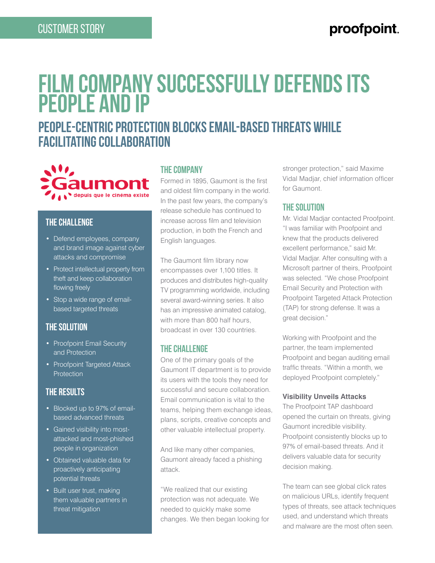## proofpoint.

# **Film Company Successfully Defends Its People and IP**

## **People-centric protection blocks email-based threats while facilitating collaboration**



#### **The Challenge**

- Defend employees, company and brand image against cyber attacks and compromise
- Protect intellectual property from theft and keep collaboration flowing freely
- Stop a wide range of emailbased targeted threats

#### **The Solution**

- Proofpoint Email Security and Protection
- Proofpoint Targeted Attack **Protection**

### **The Results**

- Blocked up to 97% of emailbased advanced threats
- Gained visibility into mostattacked and most-phished people in organization
- Obtained valuable data for proactively anticipating potential threats
- Built user trust, making them valuable partners in threat mitigation

#### **The Company**

Formed in 1895, Gaumont is the first and oldest film company in the world. In the past few years, the company's release schedule has continued to increase across film and television production, in both the French and English languages.

The Gaumont film library now encompasses over 1,100 titles. It produces and distributes high-quality TV programming worldwide, including several award-winning series. It also has an impressive animated catalog, with more than 800 half hours, broadcast in over 130 countries.

#### **The Challenge**

One of the primary goals of the Gaumont IT department is to provide its users with the tools they need for successful and secure collaboration. Email communication is vital to the teams, helping them exchange ideas, plans, scripts, creative concepts and other valuable intellectual property.

And like many other companies, Gaumont already faced a phishing attack.

"We realized that our existing protection was not adequate. We needed to quickly make some changes. We then began looking for stronger protection," said Maxime Vidal Madjar, chief information officer for Gaumont.

#### **The Solution**

Mr. Vidal Madjar contacted Proofpoint. "I was familiar with Proofpoint and knew that the products delivered excellent performance," said Mr. Vidal Madjar. After consulting with a Microsoft partner of theirs, Proofpoint was selected. "We chose Proofpoint Email Security and Protection with Proofpoint Targeted Attack Protection (TAP) for strong defense. It was a great decision."

Working with Proofpoint and the partner, the team implemented Proofpoint and began auditing email traffic threats. "Within a month, we deployed Proofpoint completely."

#### **Visibility Unveils Attacks**

The Proofpoint TAP dashboard opened the curtain on threats, giving Gaumont incredible visibility. Proofpoint consistently blocks up to 97% of email-based threats. And it delivers valuable data for security decision making.

The team can see global click rates on malicious URLs, identify frequent types of threats, see attack techniques used, and understand which threats and malware are the most often seen.